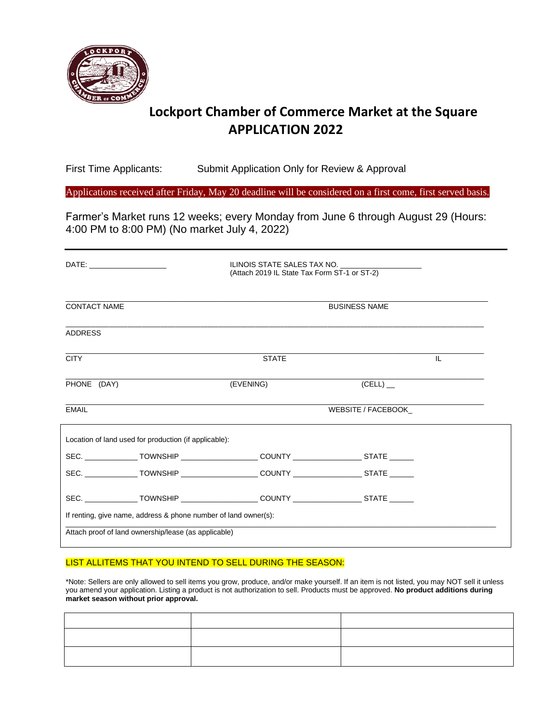

### **Lockport Chamber of Commerce Market at the Square APPLICATION 2022**

First Time Applicants: Submit Application Only for Review & Approval

Applications received after Friday, May 20 deadline will be considered on a first come, first served basis.

Farmer's Market runs 12 weeks; every Monday from June 6 through August 29 (Hours: 4:00 PM to 8:00 PM) (No market July 4, 2022)

| DATE: ______________________                                                               | ILINOIS STATE SALES TAX NO.<br>(Attach 2019 IL State Tax Form ST-1 or ST-2) |                    |     |  |  |
|--------------------------------------------------------------------------------------------|-----------------------------------------------------------------------------|--------------------|-----|--|--|
| <b>CONTACT NAME</b>                                                                        | <b>BUSINESS NAME</b>                                                        |                    |     |  |  |
| <b>ADDRESS</b>                                                                             |                                                                             |                    |     |  |  |
| <b>CITY</b>                                                                                | <b>STATE</b>                                                                |                    | IL. |  |  |
| PHONE (DAY)                                                                                | (EVENING)                                                                   | $(CELL)$ _         |     |  |  |
| <b>EMAIL</b>                                                                               |                                                                             | WEBSITE / FACEBOOK |     |  |  |
| Location of land used for production (if applicable):                                      |                                                                             |                    |     |  |  |
| SEC. _______________TOWNSHIP ____________________COUNTY ___________________STATE ______    |                                                                             |                    |     |  |  |
| SEC. ______________TOWNSHIP ____________________COUNTY _____________________STATE ______   |                                                                             |                    |     |  |  |
| SEC. ________________TOWNSHIP ____________________COUNTY ____________________STATE _______ |                                                                             |                    |     |  |  |
| If renting, give name, address & phone number of land owner(s):                            |                                                                             |                    |     |  |  |
| Attach proof of land ownership/lease (as applicable)                                       |                                                                             |                    |     |  |  |

#### LIST ALLITEMS THAT YOU INTEND TO SELL DURING THE SEASON:

\*Note: Sellers are only allowed to sell items you grow, produce, and/or make yourself. If an item is not listed, you may NOT sell it unless you amend your application. Listing a product is not authorization to sell. Products must be approved. **No product additions during market season without prior approval.**